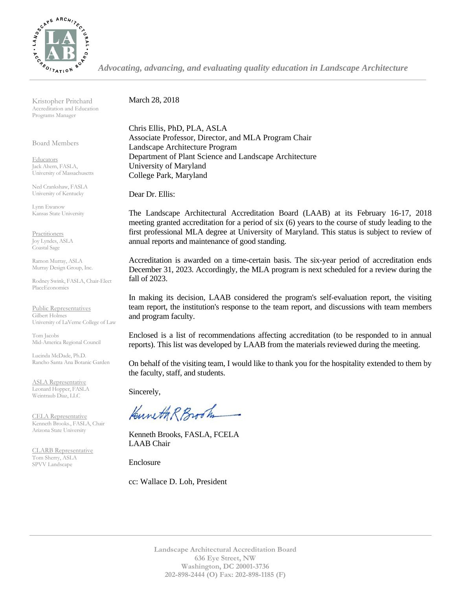

*Advocating, advancing, and evaluating quality education in Landscape Architecture*

Kristopher Pritchard Accreditation and Education Programs Manager

Board Members

**Educators** Jack Ahern, FASLA, University of Massachusetts

Ned Crankshaw, FASLA University of Kentucky

Lynn Ewanow Kansas State University

**Practitioners** Joy Lyndes, ASLA Coastal Sage

Ramon Murray, ASLA Murray Design Group, Inc.

Rodney Swink, FASLA, Chair-Elect PlaceEconomics

Public Representatives Gilbert Holmes University of LaVerne College of Law

Tom Jacobs Mid-America Regional Council

Lucinda McDade, Ph.D. Rancho Santa Ana Botanic Garden

ASLA Representative Leonard Hopper, FASLA Weintraub Diaz, LLC

CELA Representative Kenneth Brooks., FASLA, Chair Arizona State University

CLARB Representative Tom Sherry, ASLA SPVV Landscape

March 28, 2018

Chris Ellis, PhD, PLA, ASLA Associate Professor, Director, and MLA Program Chair Landscape Architecture Program Department of Plant Science and Landscape Architecture University of Maryland College Park, Maryland

Dear Dr. Ellis:

The Landscape Architectural Accreditation Board (LAAB) at its February 16-17, 2018 meeting granted accreditation for a period of six (6) years to the course of study leading to the first professional MLA degree at University of Maryland. This status is subject to review of annual reports and maintenance of good standing.

Accreditation is awarded on a time-certain basis. The six-year period of accreditation ends December 31, 2023. Accordingly, the MLA program is next scheduled for a review during the fall of 2023.

In making its decision, LAAB considered the program's self-evaluation report, the visiting team report, the institution's response to the team report, and discussions with team members and program faculty.

Enclosed is a list of recommendations affecting accreditation (to be responded to in annual reports). This list was developed by LAAB from the materials reviewed during the meeting.

On behalf of the visiting team, I would like to thank you for the hospitality extended to them by the faculty, staff, and students.

Sincerely,

Kuneth R Brook

Kenneth Brooks, FASLA, FCELA LAAB Chair

Enclosure

cc: Wallace D. Loh, President